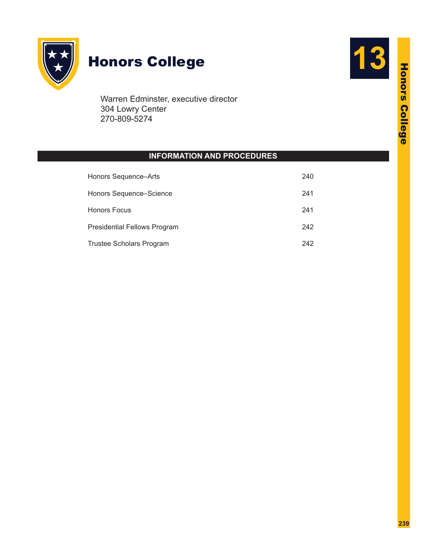

# Honors College **13**

Warren Edminster, executive director 304 Lowry Center 270-809-5274

# **INFORMATION AND PROCEDURES**

| Honors Sequence-Arts         | 240 |
|------------------------------|-----|
| Honors Sequence-Science      | 241 |
| <b>Honors Focus</b>          | 241 |
| Presidential Fellows Program | 242 |
| Trustee Scholars Program     | 242 |

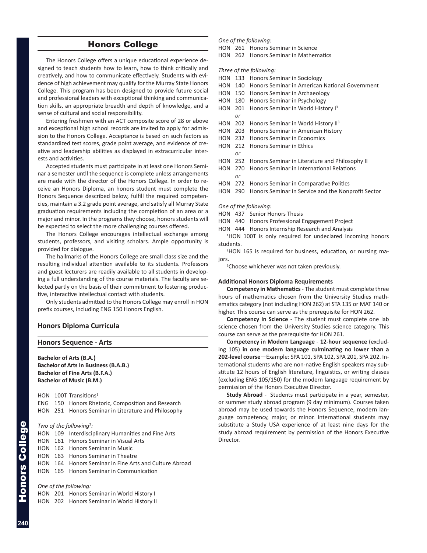# Honors College

The Honors College offers a unique educational experience designed to teach students how to learn, how to think critically and creatively, and how to communicate effectively. Students with evidence of high achievement may qualify for the Murray State Honors College. This program has been designed to provide future social and professional leaders with exceptional thinking and communication skills, an appropriate breadth and depth of knowledge, and a sense of cultural and social responsibility.

Entering freshmen with an ACT composite score of 28 or above and exceptional high school records are invited to apply for admission to the Honors College. Acceptance is based on such factors as standardized test scores, grade point average, and evidence of creative and leadership abilities as displayed in extracurricular interests and activities.

Accepted students must participate in at least one Honors Seminar a semester until the sequence is complete unless arrangements are made with the director of the Honors College. In order to receive an Honors Diploma, an honors student must complete the Honors Sequence described below, fulfill the required competencies, maintain a 3.2 grade point average, and satisfy all Murray State graduation requirements including the completion of an area or a major and minor. In the programs they choose, honors students will be expected to select the more challenging courses offered.

The Honors College encourages intellectual exchange among students, professors, and visiting scholars. Ample opportunity is provided for dialogue.

The hallmarks of the Honors College are small class size and the resulting individual attention available to its students. Professors and guest lecturers are readily available to all students in developing a full understanding of the course materials. The faculty are selected partly on the basis of their commitment to fostering productive, interactive intellectual contact with students.

Only students admitted to the Honors College may enroll in HON prefix courses, including ENG 150 Honors English.

#### **Honors Diploma Curricula**

#### **Honors Sequence - Arts**

**Bachelor of Arts (B.A.) Bachelor of Arts in Business (B.A.B.) Bachelor of Fine Arts (B.F.A.) Bachelor of Music (B.M.)**

|  | HON $100T$ Transitions <sup>1</sup>                 |
|--|-----------------------------------------------------|
|  | ENG 150 Honors Rhetoric, Composition and Research   |
|  | HON 251 Honors Seminar in Literature and Philosophy |

#### Two of the following<sup>2</sup>:

|  | HON 109 Interdisciplinary Humanities and Fine Arts     |
|--|--------------------------------------------------------|
|  | HON 161 Honors Seminar in Visual Arts                  |
|  | HON 162 Honors Seminar in Music                        |
|  | HON 163 Honors Seminar in Theatre                      |
|  | HON 164 Honors Seminar in Fine Arts and Culture Abroad |
|  | HON 165 Honors Seminar in Communication                |

#### *One of the following:*

HON 201 Honors Seminar in World History I

HON 202 Honors Seminar in World History II

#### *One of the following:*

HON 261 Honors Seminar in Science

HON 262 Honors Seminar in Mathematics

*Three of the following:*

- HON 133 Honors Seminar in Sociology
- HON 140 Honors Seminar in American National Government
- HON 150 Honors Seminar in Archaeology
- HON 180 Honors Seminar in Psychology
- HON 201 Honors Seminar in World History I<sup>3</sup>
- *or*
- HON 202 Honors Seminar in World History II<sup>3</sup> HON 203 Honors Seminar in American History
- HON 232 Honors Seminar in Economics
- 
- HON 212 Honors Seminar in Ethics  *or*
- HON 252 Honors Seminar in Literature and Philosophy II
- HON 270 Honors Seminar in International Relations
- *or*
	- HON 272 Honors Seminar in Comparative Politics
	- HON 290 Honors Seminar in Service and the Nonprofit Sector

#### *One of the following:*

- HON 437 Senior Honors Thesis
- HON 440 Honors Professional Engagement Project
- HON 444 Honors Internship Research and Analysis

<sup>1</sup>HON 100T is only required for undeclared incoming honors students.

2 HON 165 is required for business, education, or nursing majors.

Choose whichever was not taken previously.

#### **Additional Honors Diploma Requirements**

**Competency in Mathematics** - The student must complete three hours of mathematics chosen from the University Studies mathematics category (not including HON 262) at STA 135 or MAT 140 or higher. This course can serve as the prerequisite for HON 262.

**Competency in Science** - The student must complete one lab science chosen from the University Studies science category. This course can serve as the prerequisite for HON 261.

**Competency in Modern Language** - **12-hour sequence** (excluding 105) **in one modern language culminating no lower than a 202-level course**—Example: SPA 101, SPA 102, SPA 201, SPA 202. International students who are non-native English speakers may substitute 12 hours of English literature, linguistics, or writing classes (excluding ENG 105/150) for the modern language requirement by permission of the Honors Executive Director.

**Study Abroad** - Students must participate in a year, semester, or summer study abroad program (9 day minimum). Courses taken abroad may be used towards the Honors Sequence, modern language competency, major, or minor. International students may substitute a Study USA experience of at least nine days for the study abroad requirement by permission of the Honors Executive Director.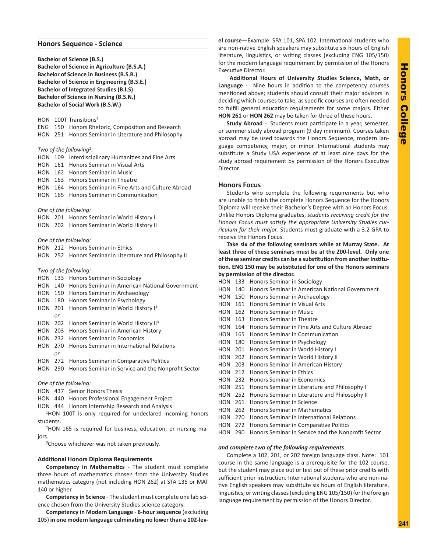#### **Honors Sequence - Science**

**Bachelor of Science (B.S.) Bachelor of Science in Agriculture (B.S.A.) Bachelor of Science in Business (B.S.B.) Bachelor of Science in Engineering (B.S.E.) Bachelor of Integrated Studies (B.I.S) Bachelor of Science in Nursing (B.S.N.) Bachelor of Social Work (B.S.W.)**

HON 100T Transitions<sup>1</sup>

ENG 150 Honors Rhetoric, Composition and Research HON 251 Honors Seminar in Literature and Philosophy

#### Two of the following<sup>2</sup>:

HON 109 Interdisciplinary Humanities and Fine Arts HON 161 Honors Seminar in Visual Arts HON 162 Honors Seminar in Music HON 163 Honors Seminar in Theatre

HON 164 Honors Seminar in Fine Arts and Culture Abroad

HON 165 Honors Seminar in Communication

#### *One of the following:*

HON 201 Honors Seminar in World History I

HON 202 Honors Seminar in World History II

*One of the following:*

HON 212 Honors Seminar in Ethics HON 252 Honors Seminar in Literature and Philosophy II

#### *Two of the following:*

HON 133 Honors Seminar in Sociology HON 140 Honors Seminar in American National Government HON 150 Honors Seminar in Archaeology HON 180 Honors Seminar in Psychology HON 201 Honors Seminar in World History I<sup>3</sup>  *or* HON 202 Honors Seminar in World History II<sup>3</sup> HON 203 Honors Seminar in American History HON 232 Honors Seminar in Economics HON 270 Honors Seminar in International Relations  *or* HON 272 Honors Seminar in Comparative Politics HON 290 Honors Seminar in Service and the Nonprofit Sector

*One of the following:*

- HON 437 Senior Honors Thesis
- HON 440 Honors Professional Engagement Project
- HON 444 Honors Internship Research and Analysis

<sup>1</sup>HON 100T is only required for undeclared incoming honors students.

2 HON 165 is required for business, education, or nursing majors.

<sup>3</sup>Choose whichever was not taken previously.

#### **Additional Honors Diploma Requirements**

**Competency in Mathematics** - The student must complete three hours of mathematics chosen from the University Studies mathematics category (not including HON 262) at STA 135 or MAT 140 or higher.

**Competency in Science** - The student must complete one lab science chosen from the University Studies science category.

**Competency in Modern Language** - **6-hour sequence** (excluding 105) **in one modern language culminating no lower than a 102-lev-** **el course**—Example: SPA 101, SPA 102. International students who are non-native English speakers may substitute six hours of English literature, linguistics, or writing classes (excluding ENG 105/150) for the modern language requirement by permission of the Honors Executive Director.

**Additional Hours of University Studies Science, Math, or Language** - Nine hours in addition to the competency courses mentioned above; students should consult their major advisors in deciding which courses to take, as specific courses are often needed to fulfill general education requirements for some majors. Either **HON 261** or **HON 262** may be taken for three of these hours.

**Study Abroad** - Students must participate in a year, semester, or summer study abroad program (9 day minimum). Courses taken abroad may be used towards the Honors Sequence, modern language competency, major, or minor. International students may substitute a Study USA experience of at least nine days for the study abroad requirement by permission of the Honors Executive Director.

### **Honors Focus**

Students who complete the following requirements but who are unable to finish the complete Honors Sequence for the Honors Diploma will receive their Bachelor's Degree with an Honors Focus. Unlike Honors Diploma graduates, *students receiving credit for the Honors Focus must satisfy the appropriate University Studies curriculum for their major*. Students must graduate with a 3.2 GPA to receive the Honors Focus.

**Take six of the following seminars while at Murray State. At least three of these seminars must be at the 200-level. Only one of these seminar credits can be a substitution from another institution. ENG 150 may be substituted for one of the Honors seminars by permission of the director.**

HON 133 Honors Seminar in Sociology HON 140 Honors Seminar in American National Government HON 150 Honors Seminar in Archaeology HON 161 Honors Seminar in Visual Arts HON 162 Honors Seminar in Music HON 163 Honors Seminar in Theatre HON 164 Honors Seminar in Fine Arts and Culture Abroad HON 165 Honors Seminar in Communication HON 180 Honors Seminar in Psychology HON 201 Honors Seminar in World History I HON 202 Honors Seminar in World History II HON 203 Honors Seminar in American History HON 212 Honors Seminar in Ethics HON 232 Honors Seminar in Economics HON 251 Honors Seminar in Literature and Philosophy I HON 252 Honors Seminar in Literature and Philosophy II HON 261 Honors Seminar in Science HON 262 Honors Seminar in Mathematics HON 270 Honors Seminar in International Relations HON 272 Honors Seminar in Comparative Politics HON 290 Honors Seminar in Service and the Nonprofit Sector

## *and complete two of the following requirements*

Complete a 102, 201, or 202 foreign language class. Note: 101 course in the same language is a prerequisite for the 102 course, but the student may place out or test out of these prior credits with sufficient prior instruction. International students who are non-native English speakers may substitute six hours of English literature, linguistics, or writing classes (excluding ENG 105/150) for the foreign language requirement by permission of the Honors Director.